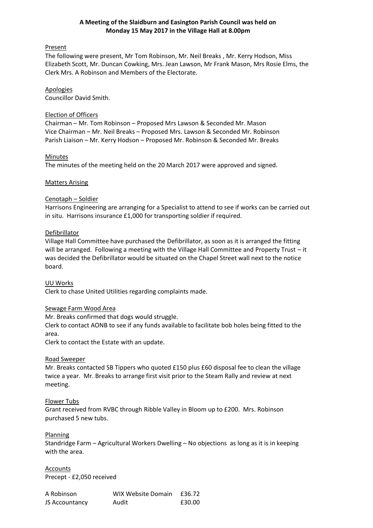## **A Meeting of the Slaidburn and Easington Parish Council was held on Monday 15 May 2017 in the Village Hall at 8.00pm**

## Present

The following were present, Mr Tom Robinson, Mr. Neil Breaks , Mr. Kerry Hodson, Miss Elizabeth Scott, Mr. Duncan Cowking, Mrs. Jean Lawson, Mr Frank Mason, Mrs Rosie Elms, the Clerk Mrs. A Robinson and Members of the Electorate.

## Apologies

Councillor David Smith.

### Election of Officers

Chairman – Mr. Tom Robinson – Proposed Mrs Lawson & Seconded Mr. Mason Vice Chairman – Mr. Neil Breaks – Proposed Mrs. Lawson & Seconded Mr. Robinson Parish Liaison – Mr. Kerry Hodson – Proposed Mr. Robinson & Seconded Mr. Breaks

## Minutes

The minutes of the meeting held on the 20 March 2017 were approved and signed.

## Matters Arising

## Cenotaph – Soldier

Harrisons Engineering are arranging for a Specialist to attend to see if works can be carried out in situ. Harrisons insurance £1,000 for transporting soldier if required.

## Defibrillator

Village Hall Committee have purchased the Defibrillator, as soon as it is arranged the fitting will be arranged. Following a meeting with the Village Hall Committee and Property Trust – it was decided the Defibrillator would be situated on the Chapel Street wall next to the notice board.

UU Works Clerk to chase United Utilities regarding complaints made.

## Sewage Farm Wood Area

Mr. Breaks confirmed that dogs would struggle.

Clerk to contact AONB to see if any funds available to facilitate bob holes being fitted to the area.

Clerk to contact the Estate with an update.

#### Road Sweeper

Mr. Breaks contacted SB Tippers who quoted £150 plus £60 disposal fee to clean the village twice a year. Mr. Breaks to arrange first visit prior to the Steam Rally and review at next meeting.

## Flower Tubs

Grant received from RVBC through Ribble Valley in Bloom up to £200. Mrs. Robinson purchased 5 new tubs.

#### **Planning**

Standridge Farm – Agricultural Workers Dwelling – No objections as long as it is in keeping with the area.

**Accounts** Precept - £2,050 received

| A Robinson     | <b>WIX Website Domain</b> | £36.72 |
|----------------|---------------------------|--------|
| JS Accountancy | Audit                     | £30.00 |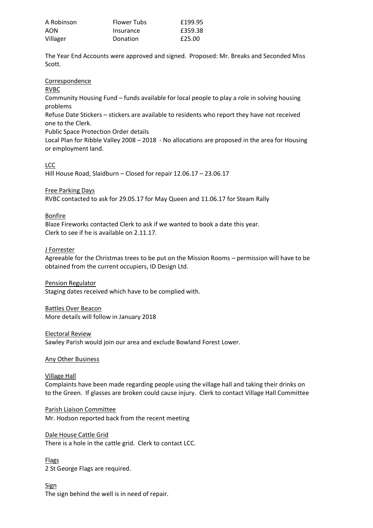| A Robinson | <b>Flower Tubs</b> | £199.95 |
|------------|--------------------|---------|
| AON        | Insurance          | £359.38 |
| Villager   | Donation           | £25.00  |

The Year End Accounts were approved and signed. Proposed: Mr. Breaks and Seconded Miss Scott.

#### Correspondence

RVBC

Community Housing Fund – funds available for local people to play a role in solving housing problems

Refuse Date Stickers – stickers are available to residents who report they have not received one to the Clerk.

Public Space Protection Order details

Local Plan for Ribble Valley 2008 – 2018 - No allocations are proposed in the area for Housing or employment land.

## LCC

Hill House Road, Slaidburn – Closed for repair 12.06.17 – 23.06.17

## Free Parking Days

RVBC contacted to ask for 29.05.17 for May Queen and 11.06.17 for Steam Rally

## **Bonfire**

Blaze Fireworks contacted Clerk to ask if we wanted to book a date this year. Clerk to see if he is available on 2.11.17.

## J Forrester

Agreeable for the Christmas trees to be put on the Mission Rooms – permission will have to be obtained from the current occupiers, ID Design Ltd.

#### Pension Regulator

Staging dates received which have to be complied with.

#### Battles Over Beacon More details will follow in January 2018

# Electoral Review

Sawley Parish would join our area and exclude Bowland Forest Lower.

#### Any Other Business

#### Village Hall

Complaints have been made regarding people using the village hall and taking their drinks on to the Green. If glasses are broken could cause injury. Clerk to contact Village Hall Committee

## Parish Liaison Committee

Mr. Hodson reported back from the recent meeting

## Dale House Cattle Grid

There is a hole in the cattle grid. Clerk to contact LCC.

Flags 2 St George Flags are required.

#### Sign The sign behind the well is in need of repair.